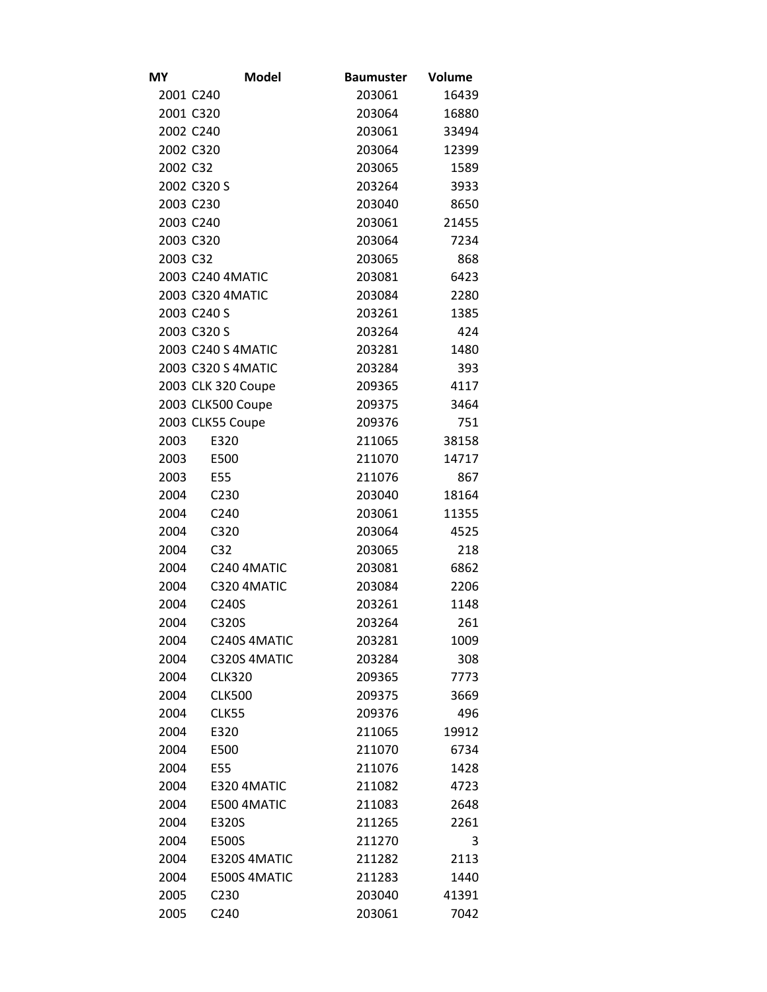| MΥ       | <b>Model</b>       | <b>Baumuster</b> | Volume |
|----------|--------------------|------------------|--------|
|          | 2001 C240          | 203061           | 16439  |
|          | 2001 C320          | 203064           | 16880  |
|          | 2002 C240          | 203061           | 33494  |
|          | 2002 C320          | 203064           | 12399  |
| 2002 C32 |                    | 203065           | 1589   |
|          | 2002 C320 S        | 203264           | 3933   |
|          | 2003 C230          | 203040           | 8650   |
|          | 2003 C240          | 203061           | 21455  |
|          | 2003 C320          | 203064           | 7234   |
| 2003 C32 |                    | 203065           | 868    |
|          | 2003 C240 4MATIC   | 203081           | 6423   |
|          | 2003 C320 4MATIC   | 203084           | 2280   |
|          | 2003 C240 S        | 203261           | 1385   |
|          | 2003 C320 S        | 203264           | 424    |
|          | 2003 C240 S 4MATIC | 203281           | 1480   |
|          | 2003 C320 S 4MATIC | 203284           | 393    |
|          | 2003 CLK 320 Coupe | 209365           | 4117   |
|          | 2003 CLK500 Coupe  | 209375           | 3464   |
|          | 2003 CLK55 Coupe   | 209376           | 751    |
| 2003     | E320               | 211065           | 38158  |
| 2003     | E500               | 211070           | 14717  |
| 2003     | E55                | 211076           | 867    |
| 2004     | C230               | 203040           | 18164  |
| 2004     | C240               | 203061           | 11355  |
| 2004     | C320               | 203064           | 4525   |
| 2004     | C <sub>32</sub>    | 203065           | 218    |
| 2004     | C240 4MATIC        | 203081           | 6862   |
| 2004     | C320 4MATIC        | 203084           | 2206   |
| 2004     | C240S              | 203261           | 1148   |
| 2004     | C320S              | 203264           | 261    |
| 2004     | C240S 4MATIC       | 203281           | 1009   |
| 2004     | C320S 4MATIC       | 203284           | 308    |
| 2004     | <b>CLK320</b>      | 209365           | 7773   |
| 2004     | <b>CLK500</b>      | 209375           | 3669   |
| 2004     | <b>CLK55</b>       | 209376           | 496    |
| 2004     | E320               | 211065           | 19912  |
| 2004     | E500               | 211070           | 6734   |
| 2004     | E55                | 211076           | 1428   |
| 2004     | E320 4MATIC        | 211082           | 4723   |
| 2004     | E500 4MATIC        | 211083           | 2648   |
| 2004     | E320S              | 211265           | 2261   |
| 2004     | E500S              | 211270           | 3      |
| 2004     | E320S 4MATIC       | 211282           | 2113   |
| 2004     | E500S 4MATIC       | 211283           | 1440   |
| 2005     | C230               | 203040           | 41391  |
| 2005     | C240               | 203061           | 7042   |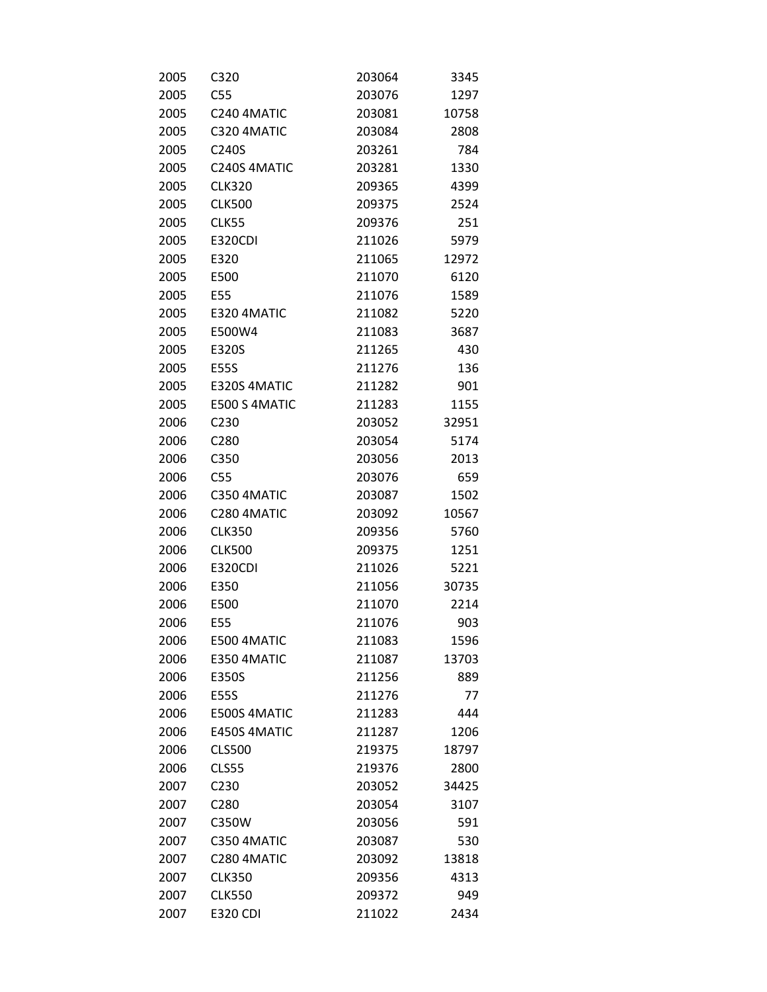| 2005 | C320              | 203064 | 3345  |
|------|-------------------|--------|-------|
| 2005 | C55               | 203076 | 1297  |
| 2005 | C240 4MATIC       | 203081 | 10758 |
| 2005 | C320 4MATIC       | 203084 | 2808  |
| 2005 | C240S             | 203261 | 784   |
| 2005 | C240S 4MATIC      | 203281 | 1330  |
| 2005 | <b>CLK320</b>     | 209365 | 4399  |
| 2005 | <b>CLK500</b>     | 209375 | 2524  |
| 2005 | <b>CLK55</b>      | 209376 | 251   |
| 2005 | <b>E320CDI</b>    | 211026 | 5979  |
| 2005 | E320              | 211065 | 12972 |
| 2005 | E500              | 211070 | 6120  |
| 2005 | E55               | 211076 | 1589  |
| 2005 | E320 4MATIC       | 211082 | 5220  |
| 2005 | E500W4            | 211083 | 3687  |
| 2005 | E320S             | 211265 | 430   |
| 2005 | <b>E55S</b>       | 211276 | 136   |
| 2005 | E320S 4MATIC      | 211282 | 901   |
| 2005 | E500 S 4MATIC     | 211283 | 1155  |
| 2006 | C <sub>230</sub>  | 203052 | 32951 |
| 2006 | C280              | 203054 | 5174  |
| 2006 | C350              | 203056 | 2013  |
| 2006 | C55               | 203076 | 659   |
| 2006 | C350 4MATIC       | 203087 | 1502  |
| 2006 | C280 4MATIC       | 203092 | 10567 |
| 2006 | <b>CLK350</b>     | 209356 | 5760  |
| 2006 | <b>CLK500</b>     | 209375 | 1251  |
| 2006 | <b>E320CDI</b>    | 211026 | 5221  |
| 2006 | E350              | 211056 | 30735 |
| 2006 | E500              | 211070 | 2214  |
| 2006 | E55               | 211076 | 903   |
| 2006 | E500 4MATIC       | 211083 | 1596  |
| 2006 | E350 4MATIC       | 211087 | 13703 |
| 2006 | E350S             | 211256 | 889   |
| 2006 | <b>E55S</b>       | 211276 | 77    |
| 2006 | E500S 4MATIC      | 211283 | 444   |
| 2006 | E450S 4MATIC      | 211287 | 1206  |
| 2006 | <b>CLS500</b>     | 219375 | 18797 |
| 2006 | <b>CLS55</b>      | 219376 | 2800  |
| 2007 | C230              | 203052 | 34425 |
| 2007 | C <sub>2</sub> 80 | 203054 | 3107  |
| 2007 | C350W             | 203056 | 591   |
| 2007 | C350 4MATIC       | 203087 | 530   |
| 2007 | C280 4MATIC       | 203092 | 13818 |
| 2007 | <b>CLK350</b>     | 209356 | 4313  |
| 2007 | <b>CLK550</b>     | 209372 | 949   |
| 2007 | <b>E320 CDI</b>   | 211022 | 2434  |